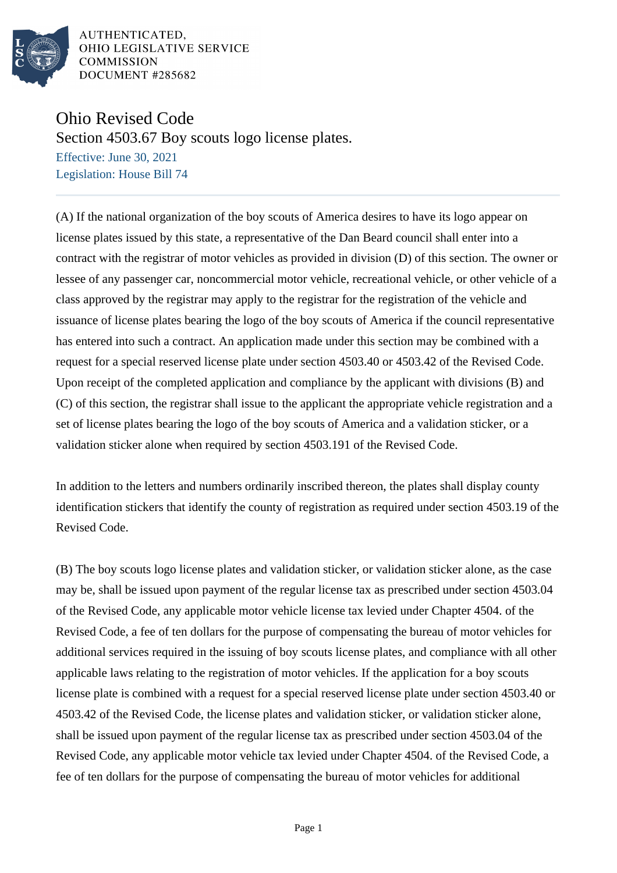

AUTHENTICATED. OHIO LEGISLATIVE SERVICE **COMMISSION** DOCUMENT #285682

## Ohio Revised Code

Section 4503.67 Boy scouts logo license plates.

Effective: June 30, 2021 Legislation: House Bill 74

(A) If the national organization of the boy scouts of America desires to have its logo appear on license plates issued by this state, a representative of the Dan Beard council shall enter into a contract with the registrar of motor vehicles as provided in division (D) of this section. The owner or lessee of any passenger car, noncommercial motor vehicle, recreational vehicle, or other vehicle of a class approved by the registrar may apply to the registrar for the registration of the vehicle and issuance of license plates bearing the logo of the boy scouts of America if the council representative has entered into such a contract. An application made under this section may be combined with a request for a special reserved license plate under section 4503.40 or 4503.42 of the Revised Code. Upon receipt of the completed application and compliance by the applicant with divisions (B) and (C) of this section, the registrar shall issue to the applicant the appropriate vehicle registration and a set of license plates bearing the logo of the boy scouts of America and a validation sticker, or a validation sticker alone when required by section 4503.191 of the Revised Code.

In addition to the letters and numbers ordinarily inscribed thereon, the plates shall display county identification stickers that identify the county of registration as required under section 4503.19 of the Revised Code.

(B) The boy scouts logo license plates and validation sticker, or validation sticker alone, as the case may be, shall be issued upon payment of the regular license tax as prescribed under section 4503.04 of the Revised Code, any applicable motor vehicle license tax levied under Chapter 4504. of the Revised Code, a fee of ten dollars for the purpose of compensating the bureau of motor vehicles for additional services required in the issuing of boy scouts license plates, and compliance with all other applicable laws relating to the registration of motor vehicles. If the application for a boy scouts license plate is combined with a request for a special reserved license plate under section 4503.40 or 4503.42 of the Revised Code, the license plates and validation sticker, or validation sticker alone, shall be issued upon payment of the regular license tax as prescribed under section 4503.04 of the Revised Code, any applicable motor vehicle tax levied under Chapter 4504. of the Revised Code, a fee of ten dollars for the purpose of compensating the bureau of motor vehicles for additional